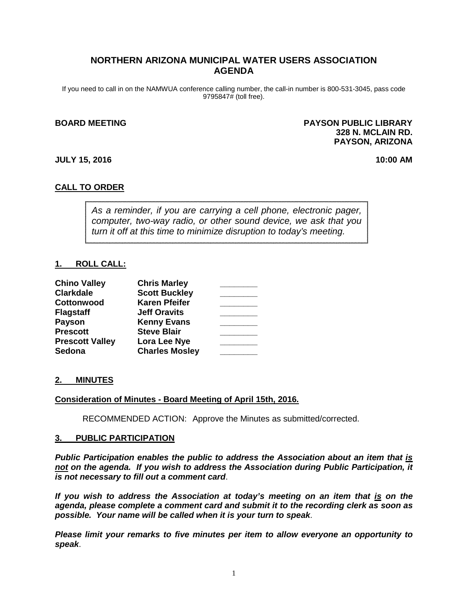# **NORTHERN ARIZONA MUNICIPAL WATER USERS ASSOCIATION AGENDA**

If you need to call in on the NAMWUA conference calling number, the call-in number is 800-531-3045, pass code 9795847# (toll free).

#### **BOARD MEETING PAYSON PUBLIC LIBRARY 328 N. MCLAIN RD. PAYSON, ARIZONA**

#### **JULY 15, 2016 10:00 AM**

# **CALL TO ORDER**

*As a reminder, if you are carrying a cell phone, electronic pager, computer, two-way radio, or other sound device, we ask that you turn it off at this time to minimize disruption to today's meeting.*

## **1. ROLL CALL:**

| <b>Chino Valley</b>    | <b>Chris Marley</b>   |  |
|------------------------|-----------------------|--|
| <b>Clarkdale</b>       | <b>Scott Buckley</b>  |  |
| Cottonwood             | <b>Karen Pfeifer</b>  |  |
| <b>Flagstaff</b>       | <b>Jeff Oravits</b>   |  |
| Payson                 | <b>Kenny Evans</b>    |  |
| <b>Prescott</b>        | <b>Steve Blair</b>    |  |
| <b>Prescott Valley</b> | Lora Lee Nye          |  |
| Sedona                 | <b>Charles Mosley</b> |  |

#### **2. MINUTES**

#### **Consideration of Minutes - Board Meeting of April 15th, 2016.**

RECOMMENDED ACTION: Approve the Minutes as submitted/corrected.

#### **3. PUBLIC PARTICIPATION**

*Public Participation enables the public to address the Association about an item that is not on the agenda. If you wish to address the Association during Public Participation, it is not necessary to fill out a comment card*.

*If you wish to address the Association at today's meeting on an item that is on the agenda, please complete a comment card and submit it to the recording clerk as soon as possible. Your name will be called when it is your turn to speak*.

*Please limit your remarks to five minutes per item to allow everyone an opportunity to speak*.